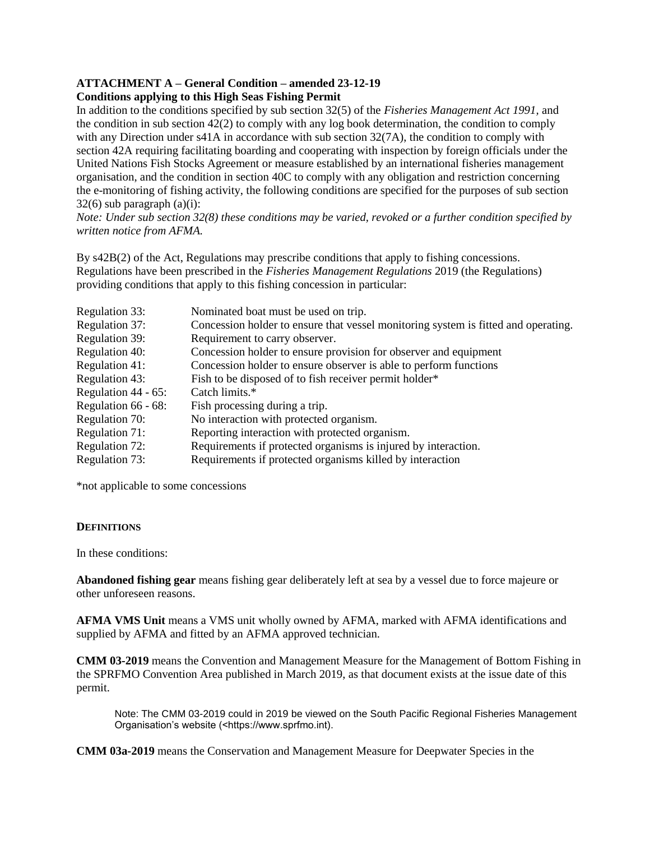#### **ATTACHMENT A – General Condition – amended 23-12-19 Conditions applying to this High Seas Fishing Permit**

In addition to the conditions specified by sub section 32(5) of the *Fisheries Management Act 1991,* and the condition in sub section 42(2) to comply with any log book determination, the condition to comply with any Direction under s41A in accordance with sub section 32(7A), the condition to comply with section 42A requiring facilitating boarding and cooperating with inspection by foreign officials under the United Nations Fish Stocks Agreement or measure established by an international fisheries management organisation, and the condition in section 40C to comply with any obligation and restriction concerning the e-monitoring of fishing activity, the following conditions are specified for the purposes of sub section  $32(6)$  sub paragraph  $(a)(i)$ :

*Note: Under sub section 32(8) these conditions may be varied, revoked or a further condition specified by written notice from AFMA.*

By s42B(2) of the Act, Regulations may prescribe conditions that apply to fishing concessions. Regulations have been prescribed in the *Fisheries Management Regulations* 2019 (the Regulations) providing conditions that apply to this fishing concession in particular:

| <b>Regulation 33:</b>  | Nominated boat must be used on trip.                                               |
|------------------------|------------------------------------------------------------------------------------|
| Regulation 37:         | Concession holder to ensure that vessel monitoring system is fitted and operating. |
| Regulation 39:         | Requirement to carry observer.                                                     |
| Regulation 40:         | Concession holder to ensure provision for observer and equipment                   |
| Regulation 41:         | Concession holder to ensure observer is able to perform functions                  |
| Regulation 43:         | Fish to be disposed of to fish receiver permit holder*                             |
| Regulation $44 - 65$ : | Catch limits.*                                                                     |
| Regulation 66 - 68:    | Fish processing during a trip.                                                     |
| Regulation 70:         | No interaction with protected organism.                                            |
| Regulation 71:         | Reporting interaction with protected organism.                                     |
| Regulation 72:         | Requirements if protected organisms is injured by interaction.                     |
| Regulation 73:         | Requirements if protected organisms killed by interaction                          |

\*not applicable to some concessions

# **DEFINITIONS**

In these conditions:

**Abandoned fishing gear** means fishing gear deliberately left at sea by a vessel due to force majeure or other unforeseen reasons.

**AFMA VMS Unit** means a VMS unit wholly owned by AFMA, marked with AFMA identifications and supplied by AFMA and fitted by an AFMA approved technician.

**CMM 03-2019** means the Convention and Management Measure for the Management of Bottom Fishing in the SPRFMO Convention Area published in March 2019, as that document exists at the issue date of this permit.

Note: The CMM 03-2019 could in 2019 be viewed on the South Pacific Regional Fisheries Management Organisation's website (<https://www.sprfmo.int).

**CMM 03a-2019** means the Conservation and Management Measure for Deepwater Species in the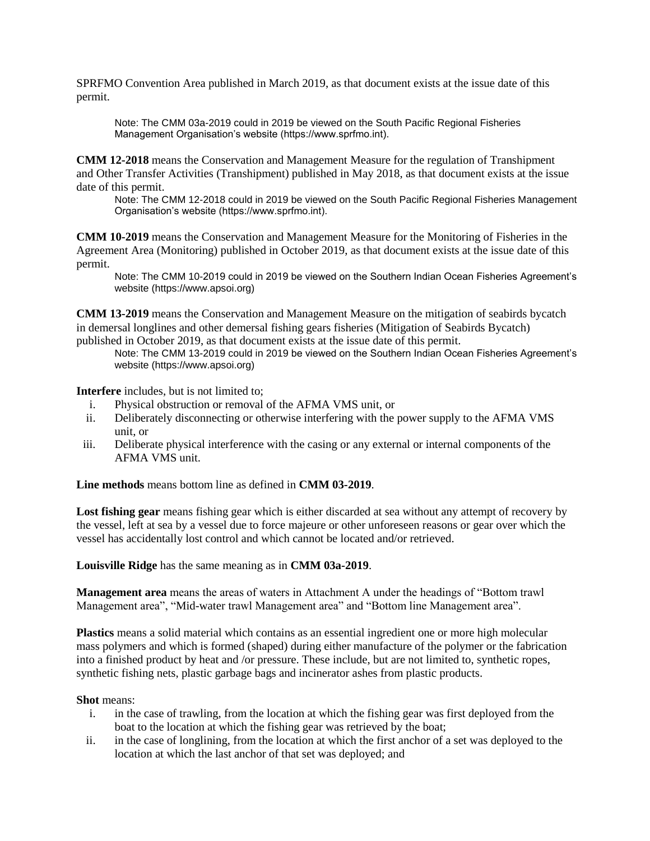SPRFMO Convention Area published in March 2019, as that document exists at the issue date of this permit.

Note: The CMM 03a-2019 could in 2019 be viewed on the South Pacific Regional Fisheries Management Organisation's website (https://www.sprfmo.int).

**CMM 12-2018** means the Conservation and Management Measure for the regulation of Transhipment and Other Transfer Activities (Transhipment) published in May 2018, as that document exists at the issue date of this permit.

Note: The CMM 12-2018 could in 2019 be viewed on the South Pacific Regional Fisheries Management Organisation's website (https://www.sprfmo.int).

**CMM 10-2019** means the Conservation and Management Measure for the Monitoring of Fisheries in the Agreement Area (Monitoring) published in October 2019, as that document exists at the issue date of this permit.

Note: The CMM 10-2019 could in 2019 be viewed on the Southern Indian Ocean Fisheries Agreement's website (https://www.apsoi.org)

**CMM 13-2019** means the Conservation and Management Measure on the mitigation of seabirds bycatch in demersal longlines and other demersal fishing gears fisheries (Mitigation of Seabirds Bycatch) published in October 2019, as that document exists at the issue date of this permit.

Note: The CMM 13-2019 could in 2019 be viewed on the Southern Indian Ocean Fisheries Agreement's website (https://www.apsoi.org)

**Interfere** includes, but is not limited to;

- i. Physical obstruction or removal of the AFMA VMS unit, or
- ii. Deliberately disconnecting or otherwise interfering with the power supply to the AFMA VMS unit, or
- iii. Deliberate physical interference with the casing or any external or internal components of the AFMA VMS unit.

**Line methods** means bottom line as defined in **CMM 03-2019**.

**Lost fishing gear** means fishing gear which is either discarded at sea without any attempt of recovery by the vessel, left at sea by a vessel due to force majeure or other unforeseen reasons or gear over which the vessel has accidentally lost control and which cannot be located and/or retrieved.

**Louisville Ridge** has the same meaning as in **CMM 03a-2019**.

**Management area** means the areas of waters in Attachment A under the headings of "Bottom trawl Management area", "Mid-water trawl Management area" and "Bottom line Management area".

**Plastics** means a solid material which contains as an essential ingredient one or more high molecular mass polymers and which is formed (shaped) during either manufacture of the polymer or the fabrication into a finished product by heat and /or pressure. These include, but are not limited to, synthetic ropes, synthetic fishing nets, plastic garbage bags and incinerator ashes from plastic products.

#### **Shot** means:

- i. in the case of trawling, from the location at which the fishing gear was first deployed from the boat to the location at which the fishing gear was retrieved by the boat;
- ii. in the case of longlining, from the location at which the first anchor of a set was deployed to the location at which the last anchor of that set was deployed; and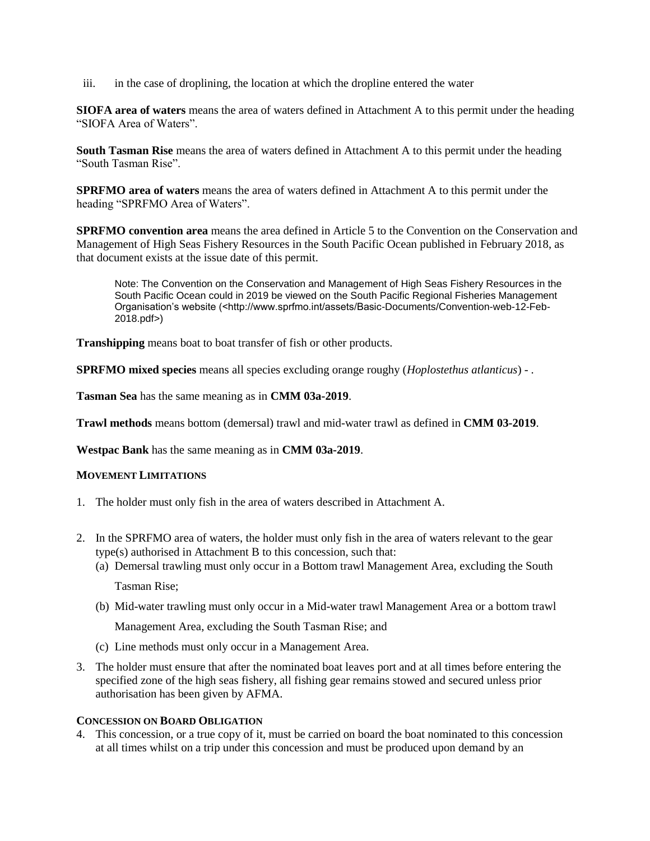iii. in the case of droplining, the location at which the dropline entered the water

**SIOFA area of waters** means the area of waters defined in Attachment A to this permit under the heading "SIOFA Area of Waters".

**South Tasman Rise** means the area of waters defined in Attachment A to this permit under the heading "South Tasman Rise".

**SPRFMO area of waters** means the area of waters defined in Attachment A to this permit under the heading "SPRFMO Area of Waters".

**SPRFMO convention area** means the area defined in Article 5 to the Convention on the Conservation and Management of High Seas Fishery Resources in the South Pacific Ocean published in February 2018, as that document exists at the issue date of this permit.

Note: The Convention on the Conservation and Management of High Seas Fishery Resources in the South Pacific Ocean could in 2019 be viewed on the South Pacific Regional Fisheries Management Organisation's website (<http://www.sprfmo.int/assets/Basic-Documents/Convention-web-12-Feb-2018.pdf>)

**Transhipping** means boat to boat transfer of fish or other products.

**SPRFMO mixed species** means all species excluding orange roughy (*Hoplostethus atlanticus*) - .

**Tasman Sea** has the same meaning as in **CMM 03a-2019**.

**Trawl methods** means bottom (demersal) trawl and mid-water trawl as defined in **CMM 03-2019**.

**Westpac Bank** has the same meaning as in **CMM 03a-2019**.

#### **MOVEMENT LIMITATIONS**

- 1. The holder must only fish in the area of waters described in Attachment A.
- 2. In the SPRFMO area of waters, the holder must only fish in the area of waters relevant to the gear type(s) authorised in Attachment B to this concession, such that:
	- (a) Demersal trawling must only occur in a Bottom trawl Management Area, excluding the South Tasman Rise;
	- (b) Mid-water trawling must only occur in a Mid-water trawl Management Area or a bottom trawl

Management Area, excluding the South Tasman Rise; and

- (c) Line methods must only occur in a Management Area.
- 3. The holder must ensure that after the nominated boat leaves port and at all times before entering the specified zone of the high seas fishery, all fishing gear remains stowed and secured unless prior authorisation has been given by AFMA.

#### **CONCESSION ON BOARD OBLIGATION**

4. This concession, or a true copy of it, must be carried on board the boat nominated to this concession at all times whilst on a trip under this concession and must be produced upon demand by an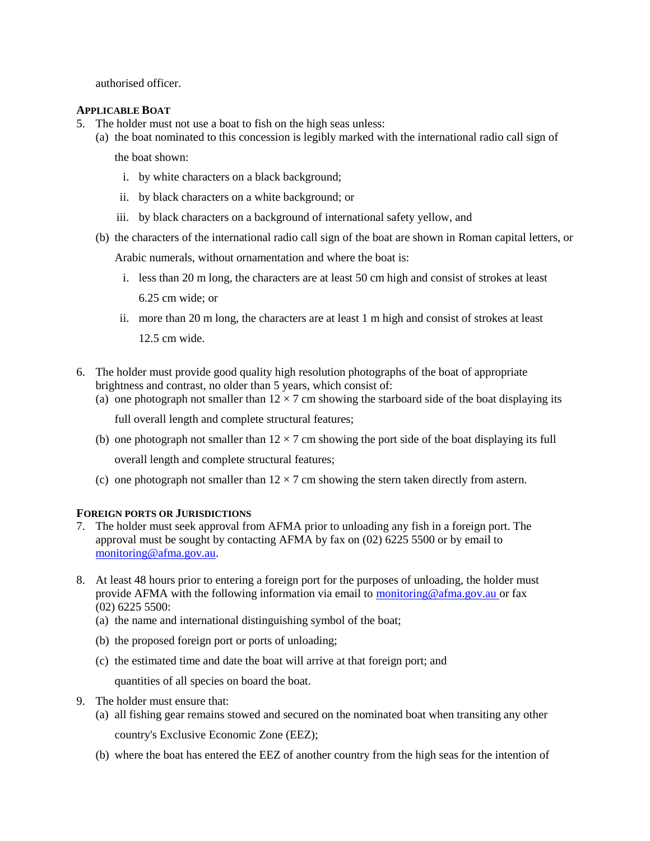authorised officer.

#### **APPLICABLE BOAT**

- 5. The holder must not use a boat to fish on the high seas unless:
	- (a) the boat nominated to this concession is legibly marked with the international radio call sign of

the boat shown:

- i. by white characters on a black background;
- ii. by black characters on a white background; or
- iii. by black characters on a background of international safety yellow, and
- (b) the characters of the international radio call sign of the boat are shown in Roman capital letters, or

Arabic numerals, without ornamentation and where the boat is:

- i. less than 20 m long, the characters are at least 50 cm high and consist of strokes at least 6.25 cm wide; or
- ii. more than 20 m long, the characters are at least 1 m high and consist of strokes at least 12.5 cm wide.
- 6. The holder must provide good quality high resolution photographs of the boat of appropriate brightness and contrast, no older than 5 years, which consist of:
	- (a) one photograph not smaller than  $12 \times 7$  cm showing the starboard side of the boat displaying its

full overall length and complete structural features;

- (b) one photograph not smaller than  $12 \times 7$  cm showing the port side of the boat displaying its full overall length and complete structural features;
- (c) one photograph not smaller than  $12 \times 7$  cm showing the stern taken directly from astern.

# **FOREIGN PORTS OR JURISDICTIONS**

- 7. The holder must seek approval from AFMA prior to unloading any fish in a foreign port. The approval must be sought by contacting AFMA by fax on (02) 6225 5500 or by email to monitoring@afma.gov.au.
- 8. At least 48 hours prior to entering a foreign port for the purposes of unloading, the holder must provide AFMA with the following information via email to monitoring@afma.gov.au or fax (02) 6225 5500:
	- (a) the name and international distinguishing symbol of the boat;
	- (b) the proposed foreign port or ports of unloading;
	- (c) the estimated time and date the boat will arrive at that foreign port; and

quantities of all species on board the boat.

- 9. The holder must ensure that:
	- (a) all fishing gear remains stowed and secured on the nominated boat when transiting any other country's Exclusive Economic Zone (EEZ);
	- (b) where the boat has entered the EEZ of another country from the high seas for the intention of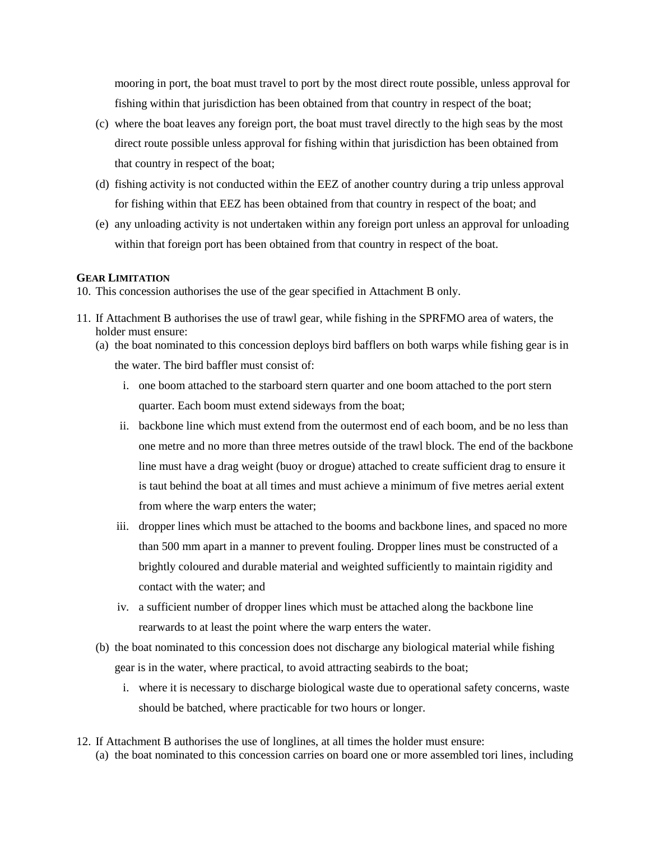mooring in port, the boat must travel to port by the most direct route possible, unless approval for fishing within that jurisdiction has been obtained from that country in respect of the boat;

- (c) where the boat leaves any foreign port, the boat must travel directly to the high seas by the most direct route possible unless approval for fishing within that jurisdiction has been obtained from that country in respect of the boat;
- (d) fishing activity is not conducted within the EEZ of another country during a trip unless approval for fishing within that EEZ has been obtained from that country in respect of the boat; and
- (e) any unloading activity is not undertaken within any foreign port unless an approval for unloading within that foreign port has been obtained from that country in respect of the boat.

#### **GEAR LIMITATION**

10. This concession authorises the use of the gear specified in Attachment B only.

- 11. If Attachment B authorises the use of trawl gear, while fishing in the SPRFMO area of waters, the holder must ensure:
	- (a) the boat nominated to this concession deploys bird bafflers on both warps while fishing gear is in the water. The bird baffler must consist of:
		- i. one boom attached to the starboard stern quarter and one boom attached to the port stern quarter. Each boom must extend sideways from the boat;
		- ii. backbone line which must extend from the outermost end of each boom, and be no less than one metre and no more than three metres outside of the trawl block. The end of the backbone line must have a drag weight (buoy or drogue) attached to create sufficient drag to ensure it is taut behind the boat at all times and must achieve a minimum of five metres aerial extent from where the warp enters the water;
		- iii. dropper lines which must be attached to the booms and backbone lines, and spaced no more than 500 mm apart in a manner to prevent fouling. Dropper lines must be constructed of a brightly coloured and durable material and weighted sufficiently to maintain rigidity and contact with the water; and
		- iv. a sufficient number of dropper lines which must be attached along the backbone line rearwards to at least the point where the warp enters the water.
	- (b) the boat nominated to this concession does not discharge any biological material while fishing gear is in the water, where practical, to avoid attracting seabirds to the boat;
		- i. where it is necessary to discharge biological waste due to operational safety concerns, waste should be batched, where practicable for two hours or longer.
- 12. If Attachment B authorises the use of longlines, at all times the holder must ensure: (a) the boat nominated to this concession carries on board one or more assembled tori lines, including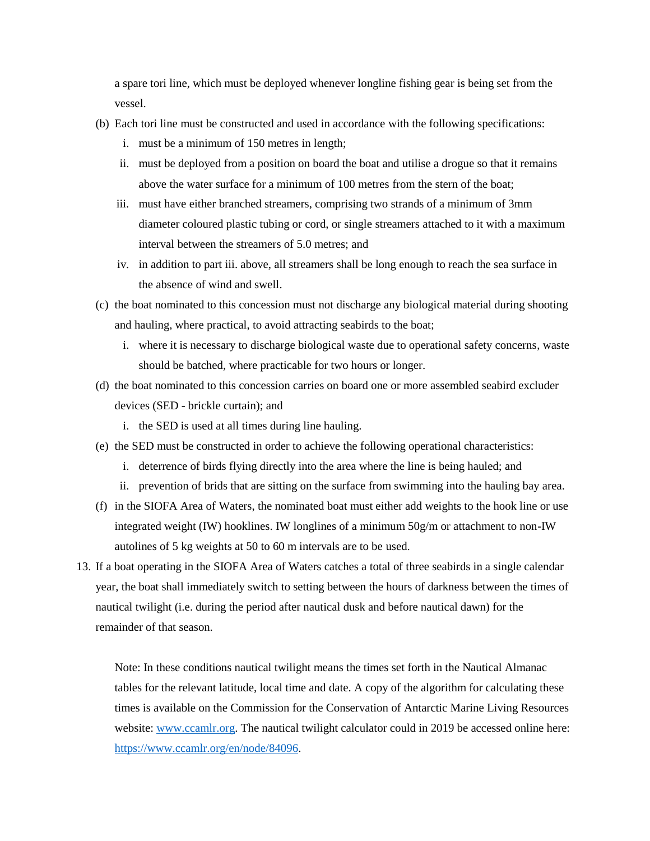a spare tori line, which must be deployed whenever longline fishing gear is being set from the vessel.

- (b) Each tori line must be constructed and used in accordance with the following specifications:
	- i. must be a minimum of 150 metres in length;
	- ii. must be deployed from a position on board the boat and utilise a drogue so that it remains above the water surface for a minimum of 100 metres from the stern of the boat;
	- iii. must have either branched streamers, comprising two strands of a minimum of 3mm diameter coloured plastic tubing or cord, or single streamers attached to it with a maximum interval between the streamers of 5.0 metres; and
	- iv. in addition to part iii. above, all streamers shall be long enough to reach the sea surface in the absence of wind and swell.
- (c) the boat nominated to this concession must not discharge any biological material during shooting and hauling, where practical, to avoid attracting seabirds to the boat;
	- i. where it is necessary to discharge biological waste due to operational safety concerns, waste should be batched, where practicable for two hours or longer.
- (d) the boat nominated to this concession carries on board one or more assembled seabird excluder devices (SED - brickle curtain); and
	- i. the SED is used at all times during line hauling.
- (e) the SED must be constructed in order to achieve the following operational characteristics:
	- i. deterrence of birds flying directly into the area where the line is being hauled; and
	- ii. prevention of brids that are sitting on the surface from swimming into the hauling bay area.
- (f) in the SIOFA Area of Waters, the nominated boat must either add weights to the hook line or use integrated weight (IW) hooklines. IW longlines of a minimum 50g/m or attachment to non-IW autolines of 5 kg weights at 50 to 60 m intervals are to be used.
- 13. If a boat operating in the SIOFA Area of Waters catches a total of three seabirds in a single calendar year, the boat shall immediately switch to setting between the hours of darkness between the times of nautical twilight (i.e. during the period after nautical dusk and before nautical dawn) for the remainder of that season.

Note: In these conditions nautical twilight means the times set forth in the Nautical Almanac tables for the relevant latitude, local time and date. A copy of the algorithm for calculating these times is available on the Commission for the Conservation of Antarctic Marine Living Resources website: [www.ccamlr.org.](http://www.ccamlr.org/) The nautical twilight calculator could in 2019 be accessed online here: [https://www.ccamlr.org/en/node/84096.](https://www.ccamlr.org/en/node/84096)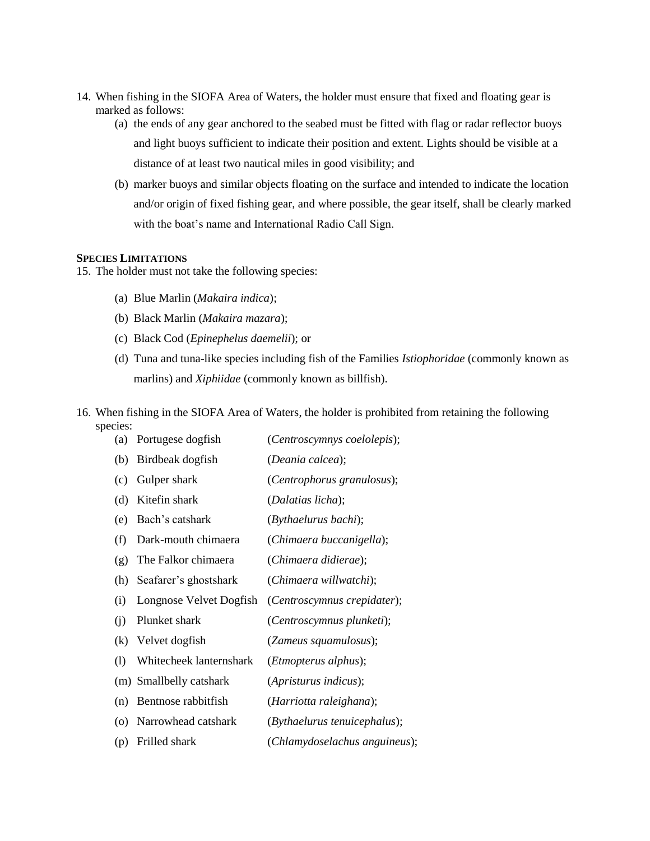- 14. When fishing in the SIOFA Area of Waters, the holder must ensure that fixed and floating gear is marked as follows:
	- (a) the ends of any gear anchored to the seabed must be fitted with flag or radar reflector buoys and light buoys sufficient to indicate their position and extent. Lights should be visible at a distance of at least two nautical miles in good visibility; and
	- (b) marker buoys and similar objects floating on the surface and intended to indicate the location and/or origin of fixed fishing gear, and where possible, the gear itself, shall be clearly marked with the boat's name and International Radio Call Sign.

#### **SPECIES LIMITATIONS**

15. The holder must not take the following species:

- (a) Blue Marlin (*Makaira indica*);
- (b) Black Marlin (*Makaira mazara*);
- (c) Black Cod (*Epinephelus daemelii*); or
- (d) Tuna and tuna-like species including fish of the Families *Istiophoridae* (commonly known as marlins) and *Xiphiidae* (commonly known as billfish).
- 16. When fishing in the SIOFA Area of Waters, the holder is prohibited from retaining the following species:

| (a) | Portugese dogfish       | (Centroscymnys coelolepis);   |
|-----|-------------------------|-------------------------------|
| (b) | Birdbeak dogfish        | (Deania calcea);              |
| (c) | Gulper shark            | (Centrophorus granulosus);    |
| (d) | Kitefin shark           | (Dalatias licha);             |
| (e) | Bach's catshark         | (Bythaelurus bachi);          |
| (f) | Dark-mouth chimaera     | (Chimaera buccanigella);      |
| (g) | The Falkor chimaera     | (Chimaera didierae);          |
| (h) | Seafarer's ghostshark   | (Chimaera willwatchi);        |
| (i) | Longnose Velvet Dogfish | (Centroscymnus crepidater);   |
| (i) | Plunket shark           | (Centroscymnus plunketi);     |
| (k) | Velvet dogfish          | (Zameus squamulosus);         |
| (1) | Whitecheek lanternshark | ( <i>Etmopterus alphus</i> ); |
|     | (m) Smallbelly catshark | (Apristurus indicus);         |
| (n) | Bentnose rabbitfish     | (Harriotta raleighana);       |
| (0) | Narrowhead catshark     | (Bythaelurus tenuicephalus);  |
| (p) | Frilled shark           | (Chlamydoselachus anguineus); |
|     |                         |                               |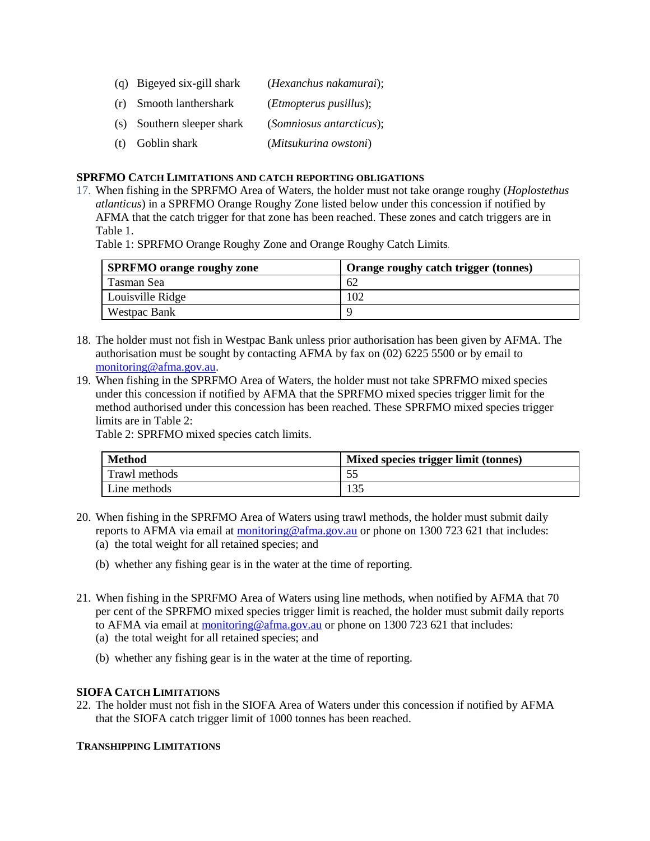- (q) Bigeyed six-gill shark (*Hexanchus nakamurai*); (r) Smooth lanthershark (*Etmopterus pusillus*); (s) Southern sleeper shark (*Somniosus antarcticus*);
- (t) Goblin shark (*Mitsukurina owstoni*)

### **SPRFMO CATCH LIMITATIONS AND CATCH REPORTING OBLIGATIONS**

17. When fishing in the SPRFMO Area of Waters, the holder must not take orange roughy (*Hoplostethus atlanticus*) in a SPRFMO Orange Roughy Zone listed below under this concession if notified by AFMA that the catch trigger for that zone has been reached. These zones and catch triggers are in Table 1.

Table 1: SPRFMO Orange Roughy Zone and Orange Roughy Catch Limits*.*

| <b>SPRFMO</b> orange roughy zone | Orange roughy catch trigger (tonnes) |
|----------------------------------|--------------------------------------|
| Tasman Sea                       | 62                                   |
| Louisville Ridge                 | 102                                  |
| <b>Westpac Bank</b>              |                                      |

- 18. The holder must not fish in Westpac Bank unless prior authorisation has been given by AFMA. The authorisation must be sought by contacting AFMA by fax on (02) 6225 5500 or by email to monitoring@afma.gov.au.
- 19. When fishing in the SPRFMO Area of Waters, the holder must not take SPRFMO mixed species under this concession if notified by AFMA that the SPRFMO mixed species trigger limit for the method authorised under this concession has been reached. These SPRFMO mixed species trigger limits are in Table 2:

Table 2: SPRFMO mixed species catch limits.

| <b>Method</b> | Mixed species trigger limit (tonnes) |
|---------------|--------------------------------------|
| Trawl methods |                                      |
| Line methods  | 135                                  |

- 20. When fishing in the SPRFMO Area of Waters using trawl methods, the holder must submit daily reports to AFMA via email at monitoring@afma.gov.au or phone on 1300 723 621 that includes:
	- (a) the total weight for all retained species; and
	- (b) whether any fishing gear is in the water at the time of reporting.
- 21. When fishing in the SPRFMO Area of Waters using line methods, when notified by AFMA that 70 per cent of the SPRFMO mixed species trigger limit is reached, the holder must submit daily reports to AFMA via email at monitoring @afma.gov.au or phone on 1300 723 621 that includes:
	- (a) the total weight for all retained species; and
	- (b) whether any fishing gear is in the water at the time of reporting.

# **SIOFA CATCH LIMITATIONS**

22. The holder must not fish in the SIOFA Area of Waters under this concession if notified by AFMA that the SIOFA catch trigger limit of 1000 tonnes has been reached.

# **TRANSHIPPING LIMITATIONS**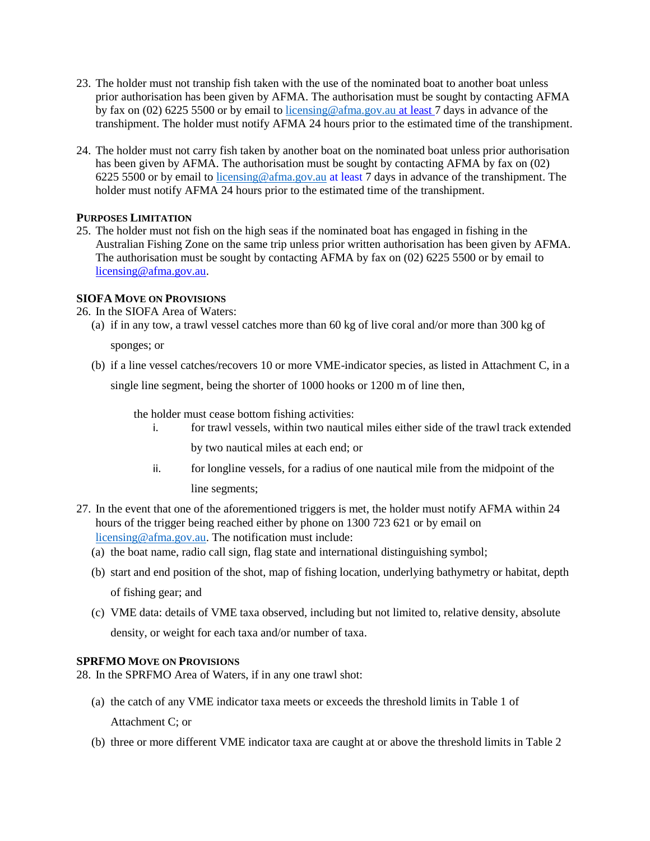- 23. The holder must not tranship fish taken with the use of the nominated boat to another boat unless prior authorisation has been given by AFMA. The authorisation must be sought by contacting AFMA by fax on (02) 6225 5500 or by email to [licensing@afma.gov.au](mailto:licensing@afma.gov.au) at least 7 days in advance of the transhipment. The holder must notify AFMA 24 hours prior to the estimated time of the transhipment.
- 24. The holder must not carry fish taken by another boat on the nominated boat unless prior authorisation has been given by AFMA. The authorisation must be sought by contacting AFMA by fax on (02) 6225 5500 or by email to [licensing@afma.gov.au](mailto:licensing@afma.gov.au) at least 7 days in advance of the transhipment. The holder must notify AFMA 24 hours prior to the estimated time of the transhipment.

# **PURPOSES LIMITATION**

25. The holder must not fish on the high seas if the nominated boat has engaged in fishing in the Australian Fishing Zone on the same trip unless prior written authorisation has been given by AFMA. The authorisation must be sought by contacting AFMA by fax on (02) 6225 5500 or by email to licensing@afma.gov.au.

# **SIOFA MOVE ON PROVISIONS**

#### 26. In the SIOFA Area of Waters:

(a) if in any tow, a trawl vessel catches more than 60 kg of live coral and/or more than 300 kg of

sponges; or

(b) if a line vessel catches/recovers 10 or more VME-indicator species, as listed in Attachment C, in a

single line segment, being the shorter of 1000 hooks or 1200 m of line then,

the holder must cease bottom fishing activities:

- i. for trawl vessels, within two nautical miles either side of the trawl track extended by two nautical miles at each end; or
- ii. for longline vessels, for a radius of one nautical mile from the midpoint of the line segments;
- 27. In the event that one of the aforementioned triggers is met, the holder must notify AFMA within 24 hours of the trigger being reached either by phone on 1300 723 621 or by email on [licensing@afma.gov.au.](mailto:licensing@afma.gov.au) The notification must include:
	- (a) the boat name, radio call sign, flag state and international distinguishing symbol;
	- (b) start and end position of the shot, map of fishing location, underlying bathymetry or habitat, depth

of fishing gear; and

(c) VME data: details of VME taxa observed, including but not limited to, relative density, absolute density, or weight for each taxa and/or number of taxa.

# **SPRFMO MOVE ON PROVISIONS**

28. In the SPRFMO Area of Waters, if in any one trawl shot:

- (a) the catch of any VME indicator taxa meets or exceeds the threshold limits in Table 1 of Attachment C; or
- (b) three or more different VME indicator taxa are caught at or above the threshold limits in Table 2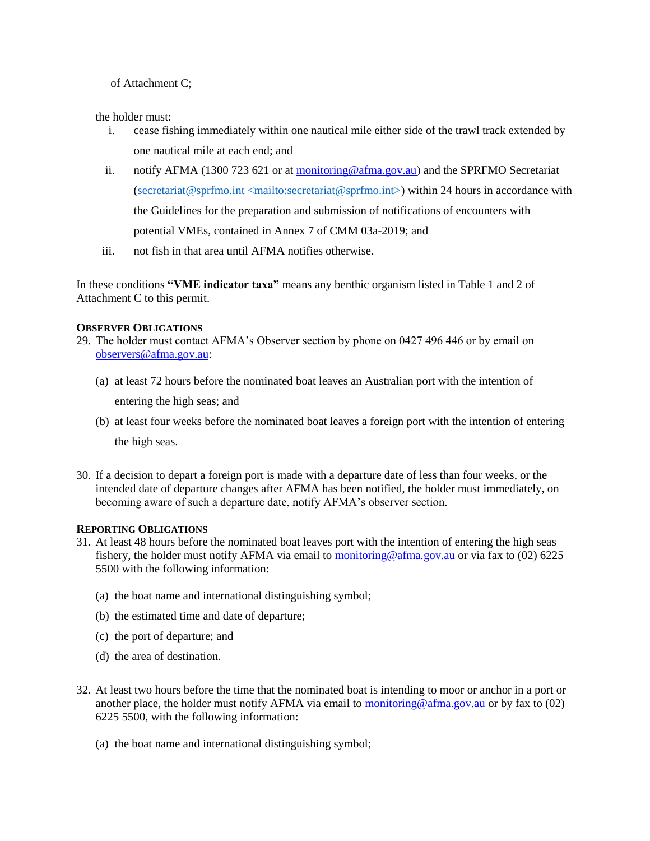of Attachment C;

the holder must:

- i. cease fishing immediately within one nautical mile either side of the trawl track extended by one nautical mile at each end; and
- ii. notify AFMA (1300 723 621 or at monitoring@afma.gov.au) and the SPRFMO Secretariat (secretariat@sprfmo.int  $\langle$  mailto:secretariat@sprfmo.int $\rangle$ ) within 24 hours in accordance with the Guidelines for the preparation and submission of notifications of encounters with potential VMEs, contained in Annex 7 of CMM 03a-2019; and
- iii. not fish in that area until AFMA notifies otherwise.

In these conditions **"VME indicator taxa"** means any benthic organism listed in Table 1 and 2 of Attachment C to this permit.

# **OBSERVER OBLIGATIONS**

- 29. The holder must contact AFMA's Observer section by phone on 0427 496 446 or by email on observers@afma.gov.au:
	- (a) at least 72 hours before the nominated boat leaves an Australian port with the intention of

entering the high seas; and

- (b) at least four weeks before the nominated boat leaves a foreign port with the intention of entering the high seas.
- 30. If a decision to depart a foreign port is made with a departure date of less than four weeks, or the intended date of departure changes after AFMA has been notified, the holder must immediately, on becoming aware of such a departure date, notify AFMA's observer section.

# **REPORTING OBLIGATIONS**

- 31. At least 48 hours before the nominated boat leaves port with the intention of entering the high seas fishery, the holder must notify AFMA via email to monitoring@afma.gov.au or via fax to (02) 6225 5500 with the following information:
	- (a) the boat name and international distinguishing symbol;
	- (b) the estimated time and date of departure;
	- (c) the port of departure; and
	- (d) the area of destination.
- 32. At least two hours before the time that the nominated boat is intending to moor or anchor in a port or another place, the holder must notify AFMA via email to monitoring @afma.gov.au or by fax to  $(02)$ 6225 5500, with the following information:
	- (a) the boat name and international distinguishing symbol;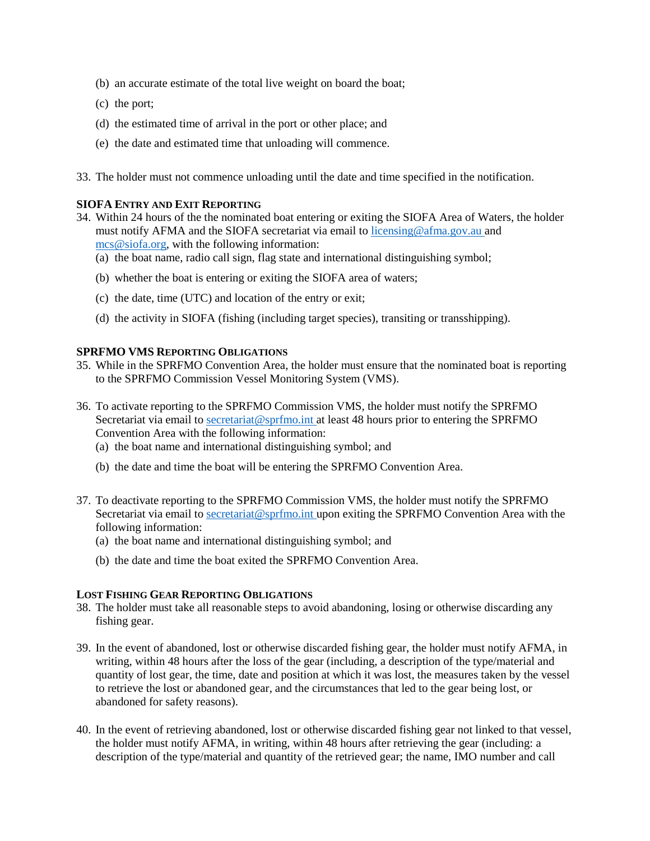- (b) an accurate estimate of the total live weight on board the boat;
- (c) the port;
- (d) the estimated time of arrival in the port or other place; and
- (e) the date and estimated time that unloading will commence.
- 33. The holder must not commence unloading until the date and time specified in the notification.

### **SIOFA ENTRY AND EXIT REPORTING**

- 34. Within 24 hours of the the nominated boat entering or exiting the SIOFA Area of Waters, the holder must notify AFMA and the SIOFA secretariat via email to licensing@afma.gov.au and mcs@siofa.org, with the following information:
	- (a) the boat name, radio call sign, flag state and international distinguishing symbol;
	- (b) whether the boat is entering or exiting the SIOFA area of waters;
	- (c) the date, time (UTC) and location of the entry or exit;
	- (d) the activity in SIOFA (fishing (including target species), transiting or transshipping).

# **SPRFMO VMS REPORTING OBLIGATIONS**

- 35. While in the SPRFMO Convention Area, the holder must ensure that the nominated boat is reporting to the SPRFMO Commission Vessel Monitoring System (VMS).
- 36. To activate reporting to the SPRFMO Commission VMS, the holder must notify the SPRFMO Secretariat via email to secretariat@sprfmo.int at least 48 hours prior to entering the SPRFMO Convention Area with the following information:
	- (a) the boat name and international distinguishing symbol; and
	- (b) the date and time the boat will be entering the SPRFMO Convention Area.
- 37. To deactivate reporting to the SPRFMO Commission VMS, the holder must notify the SPRFMO Secretariat via email to secretariat@sprfmo.int upon exiting the SPRFMO Convention Area with the following information:
	- (a) the boat name and international distinguishing symbol; and
	- (b) the date and time the boat exited the SPRFMO Convention Area.

#### **LOST FISHING GEAR REPORTING OBLIGATIONS**

- 38. The holder must take all reasonable steps to avoid abandoning, losing or otherwise discarding any fishing gear.
- 39. In the event of abandoned, lost or otherwise discarded fishing gear, the holder must notify AFMA, in writing, within 48 hours after the loss of the gear (including, a description of the type/material and quantity of lost gear, the time, date and position at which it was lost, the measures taken by the vessel to retrieve the lost or abandoned gear, and the circumstances that led to the gear being lost, or abandoned for safety reasons).
- 40. In the event of retrieving abandoned, lost or otherwise discarded fishing gear not linked to that vessel, the holder must notify AFMA, in writing, within 48 hours after retrieving the gear (including: a description of the type/material and quantity of the retrieved gear; the name, IMO number and call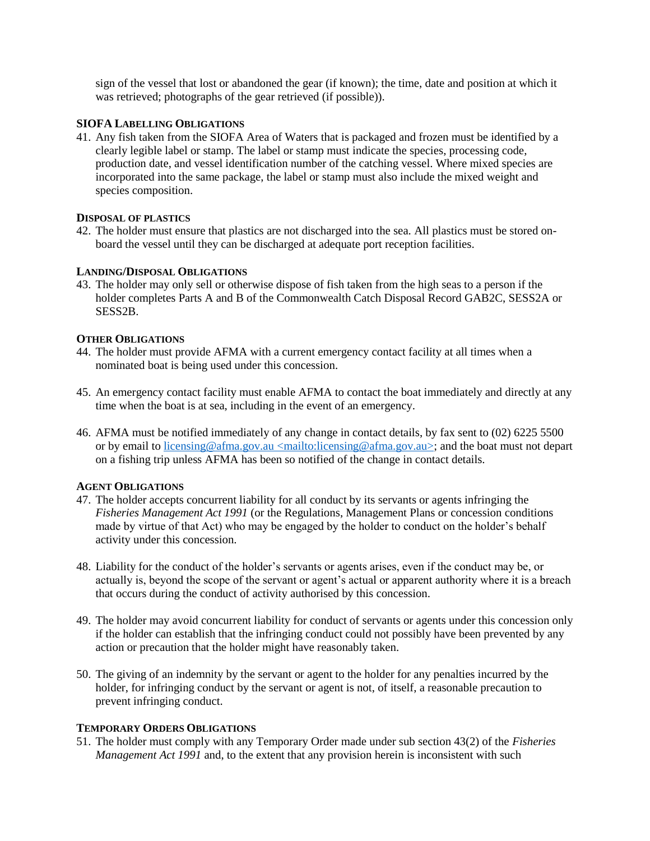sign of the vessel that lost or abandoned the gear (if known); the time, date and position at which it was retrieved; photographs of the gear retrieved (if possible)).

# **SIOFA LABELLING OBLIGATIONS**

41. Any fish taken from the SIOFA Area of Waters that is packaged and frozen must be identified by a clearly legible label or stamp. The label or stamp must indicate the species, processing code, production date, and vessel identification number of the catching vessel. Where mixed species are incorporated into the same package, the label or stamp must also include the mixed weight and species composition.

### **DISPOSAL OF PLASTICS**

42. The holder must ensure that plastics are not discharged into the sea. All plastics must be stored onboard the vessel until they can be discharged at adequate port reception facilities.

#### **LANDING/DISPOSAL OBLIGATIONS**

43. The holder may only sell or otherwise dispose of fish taken from the high seas to a person if the holder completes Parts A and B of the Commonwealth Catch Disposal Record GAB2C, SESS2A or SESS2B.

### **OTHER OBLIGATIONS**

- 44. The holder must provide AFMA with a current emergency contact facility at all times when a nominated boat is being used under this concession.
- 45. An emergency contact facility must enable AFMA to contact the boat immediately and directly at any time when the boat is at sea, including in the event of an emergency.
- 46. AFMA must be notified immediately of any change in contact details, by fax sent to (02) 6225 5500 or by email to licensing@afma.gov.au <mailto:licensing@afma.gov.au>; and the boat must not depart on a fishing trip unless AFMA has been so notified of the change in contact details.

### **AGENT OBLIGATIONS**

- 47. The holder accepts concurrent liability for all conduct by its servants or agents infringing the *Fisheries Management Act 1991* (or the Regulations, Management Plans or concession conditions made by virtue of that Act) who may be engaged by the holder to conduct on the holder's behalf activity under this concession.
- 48. Liability for the conduct of the holder's servants or agents arises, even if the conduct may be, or actually is, beyond the scope of the servant or agent's actual or apparent authority where it is a breach that occurs during the conduct of activity authorised by this concession.
- 49. The holder may avoid concurrent liability for conduct of servants or agents under this concession only if the holder can establish that the infringing conduct could not possibly have been prevented by any action or precaution that the holder might have reasonably taken.
- 50. The giving of an indemnity by the servant or agent to the holder for any penalties incurred by the holder, for infringing conduct by the servant or agent is not, of itself, a reasonable precaution to prevent infringing conduct.

#### **TEMPORARY ORDERS OBLIGATIONS**

51. The holder must comply with any Temporary Order made under sub section 43(2) of the *Fisheries Management Act 1991* and, to the extent that any provision herein is inconsistent with such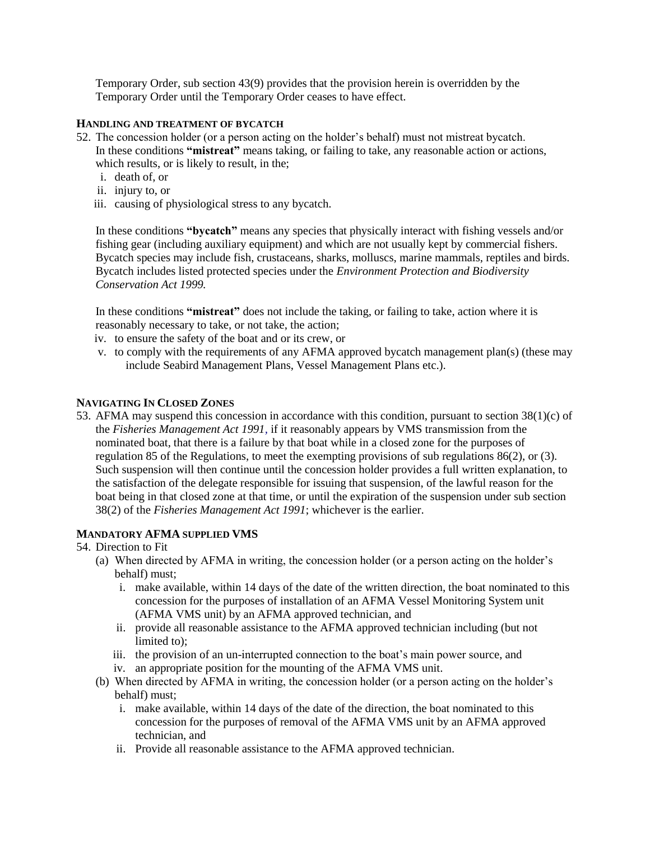Temporary Order, sub section 43(9) provides that the provision herein is overridden by the Temporary Order until the Temporary Order ceases to have effect.

### **HANDLING AND TREATMENT OF BYCATCH**

- 52. The concession holder (or a person acting on the holder's behalf) must not mistreat bycatch. In these conditions **"mistreat"** means taking, or failing to take, any reasonable action or actions, which results, or is likely to result, in the;
	- i. death of, or
	- ii. injury to, or
	- iii. causing of physiological stress to any bycatch.

In these conditions **"bycatch"** means any species that physically interact with fishing vessels and/or fishing gear (including auxiliary equipment) and which are not usually kept by commercial fishers. Bycatch species may include fish, crustaceans, sharks, molluscs, marine mammals, reptiles and birds. Bycatch includes listed protected species under the *Environment Protection and Biodiversity Conservation Act 1999.*

In these conditions **"mistreat"** does not include the taking, or failing to take, action where it is reasonably necessary to take, or not take, the action;

- iv. to ensure the safety of the boat and or its crew, or
- v. to comply with the requirements of any AFMA approved bycatch management plan(s) (these may include Seabird Management Plans, Vessel Management Plans etc.).

# **NAVIGATING IN CLOSED ZONES**

53. AFMA may suspend this concession in accordance with this condition, pursuant to section 38(1)(c) of the *Fisheries Management Act 1991,* if it reasonably appears by VMS transmission from the nominated boat, that there is a failure by that boat while in a closed zone for the purposes of regulation 85 of the Regulations, to meet the exempting provisions of sub regulations 86(2), or (3)*.*  Such suspension will then continue until the concession holder provides a full written explanation, to the satisfaction of the delegate responsible for issuing that suspension, of the lawful reason for the boat being in that closed zone at that time, or until the expiration of the suspension under sub section 38(2) of the *Fisheries Management Act 1991*; whichever is the earlier.

# **MANDATORY AFMA SUPPLIED VMS**

- 54. Direction to Fit
	- (a) When directed by AFMA in writing, the concession holder (or a person acting on the holder's behalf) must;
		- i. make available, within 14 days of the date of the written direction, the boat nominated to this concession for the purposes of installation of an AFMA Vessel Monitoring System unit (AFMA VMS unit) by an AFMA approved technician, and
		- ii. provide all reasonable assistance to the AFMA approved technician including (but not limited to);
		- iii. the provision of an un-interrupted connection to the boat's main power source, and
		- iv. an appropriate position for the mounting of the AFMA VMS unit.
	- (b) When directed by AFMA in writing, the concession holder (or a person acting on the holder's behalf) must;
		- i. make available, within 14 days of the date of the direction, the boat nominated to this concession for the purposes of removal of the AFMA VMS unit by an AFMA approved technician, and
		- ii. Provide all reasonable assistance to the AFMA approved technician.